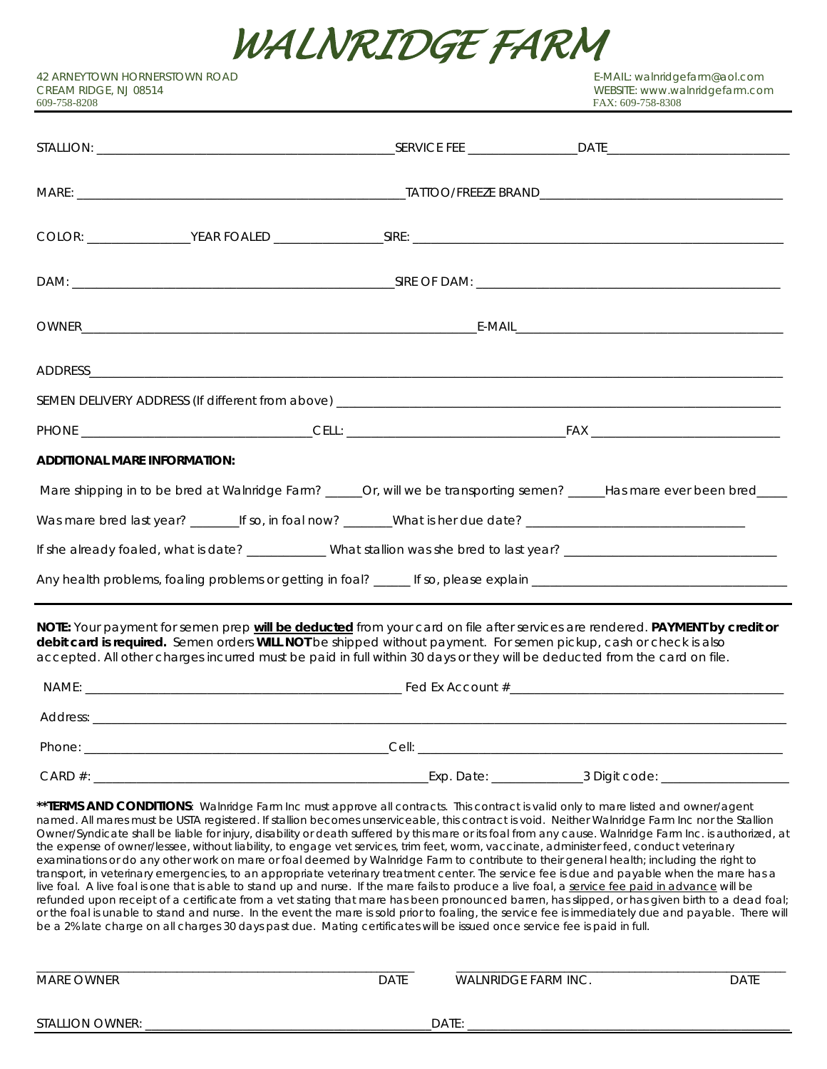

42 ARNEYTOWN HORNERSTOWN ROAD E-MAIL: walnridgefarm@aol.com CREAM RIDGE, NJ 08514 WEBSITE: www.walnridgefarm.com

| <b>ADDITIONAL MARE INFORMATION:</b>                                                                                                                                                                                                                                                                                                                                          |  |
|------------------------------------------------------------------------------------------------------------------------------------------------------------------------------------------------------------------------------------------------------------------------------------------------------------------------------------------------------------------------------|--|
| Mare shipping in to be bred at Walnridge Farm? _____Or, will we be transporting semen? _____Has mare ever been bred____                                                                                                                                                                                                                                                      |  |
| Was mare bred last year? _________If so, in foal now? ________What is her due date? __________________________________                                                                                                                                                                                                                                                       |  |
| If she already foaled, what is date? ___________ What stallion was she bred to last year? ____________________________                                                                                                                                                                                                                                                       |  |
|                                                                                                                                                                                                                                                                                                                                                                              |  |
| NOTE: Your payment for semen prep will be deducted from your card on file after services are rendered. PAYMENT by credit or<br>debit card is required. Semen orders WILL NOT be shipped without payment. For semen pickup, cash or check is also<br>accepted. All other charges incurred must be paid in full within 30 days or they will be deducted from the card on file. |  |
|                                                                                                                                                                                                                                                                                                                                                                              |  |
|                                                                                                                                                                                                                                                                                                                                                                              |  |
|                                                                                                                                                                                                                                                                                                                                                                              |  |
|                                                                                                                                                                                                                                                                                                                                                                              |  |

\*\*TERMS AND CONDITIONS: Walnridge Farm Inc must approve all contracts. This contract is valid only to mare listed and owner/agent named. All mares must be USTA registered. If stallion becomes unserviceable, this contract is void. Neither Walnridge Farm Inc nor the Stallion Owner/Syndicate shall be liable for injury, disability or death suffered by this mare or its foal from any cause. Walnridge Farm Inc. is authorized, at the expense of owner/lessee, without liability, to engage vet services, trim feet, worm, vaccinate, administer feed, conduct veterinary examinations or do any other work on mare or foal deemed by Walnridge Farm to contribute to their general health; including the right to transport, in veterinary emergencies, to an appropriate veterinary treatment center. The service fee is due and payable when the mare has a live foal. A live foal is one that is able to stand up and nurse. If the mare fails to produce a live foal, a service fee paid in advance will be refunded upon receipt of a certificate from a vet stating that mare has been pronounced barren, has slipped, or has given birth to a dead foal; or the foal is unable to stand and nurse. In the event the mare is sold prior to foaling, the service fee is immediately due and payable. There will be a 2% late charge on all charges 30 days past due. Mating certificates will be issued once service fee is paid in full.

| MARE OWNER             | DATE | WALNRIDGE FARM INC. | DATE |
|------------------------|------|---------------------|------|
| <b>STALLION OWNER:</b> |      | DATE:               |      |

\_\_\_\_\_\_\_\_\_\_\_\_\_\_\_\_\_\_\_\_\_\_\_\_\_\_\_\_\_\_\_\_\_\_\_\_\_\_\_\_\_\_\_\_\_\_\_\_\_\_\_\_\_\_\_\_\_\_\_\_\_\_\_\_\_\_\_\_\_\_ \_\_\_\_\_\_\_\_\_\_\_\_\_\_\_\_\_\_\_\_\_\_\_\_\_\_\_\_\_\_\_\_\_\_\_\_\_\_\_\_\_\_\_\_\_\_\_\_\_\_\_\_\_\_\_\_\_\_\_\_\_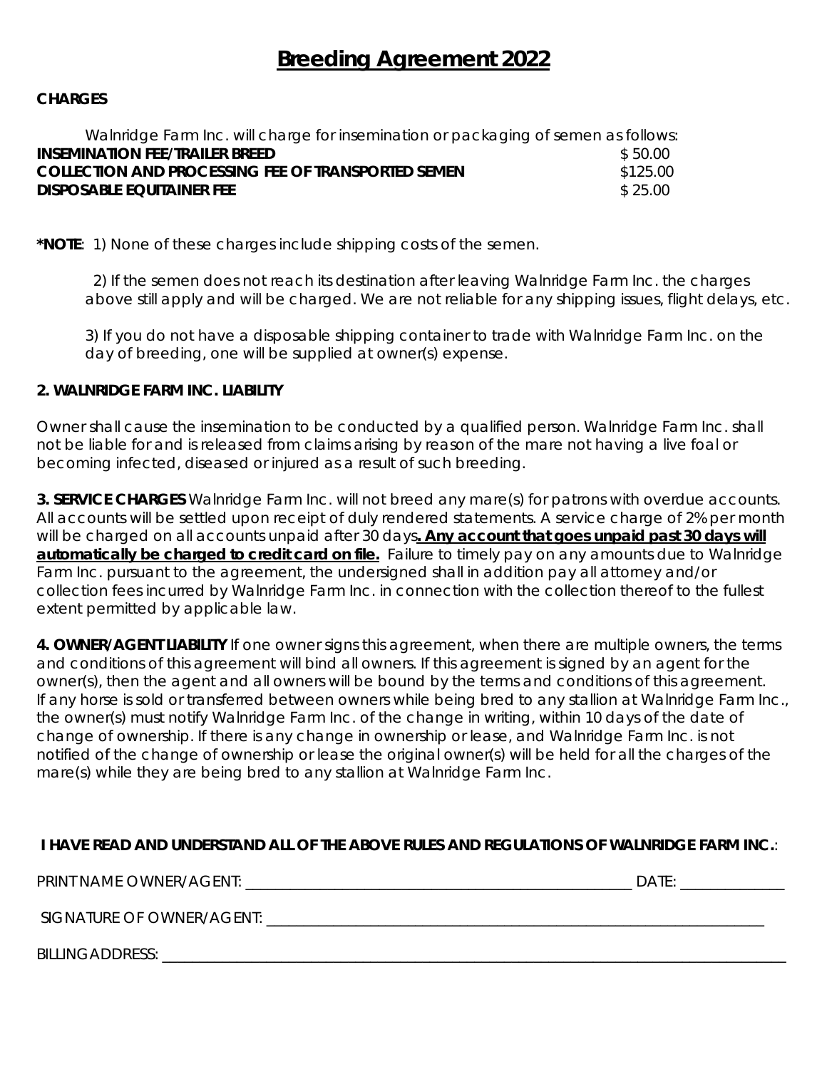# **Breeding Agreement 2022**

#### **CHARGES**

| Walnridge Farm Inc. will charge for insemination or packaging of semen as follows: |          |
|------------------------------------------------------------------------------------|----------|
| <b>INSEMINATION FEE/TRAILER BREED</b>                                              | \$50.00  |
| <b>COLLECTION AND PROCESSING FEE OF TRANSPORTED SEMEN</b>                          | \$125.00 |
| <b>DISPOSABLE EQUITAINER FEE</b>                                                   | \$25.00  |

**\*NOTE**: 1) None of these charges include shipping costs of the semen.

2) If the semen does not reach its destination after leaving Walnridge Farm Inc. the charges above still apply and will be charged. We are not reliable for any shipping issues, flight delays, etc.

3) If you do not have a disposable shipping container to trade with Walnridge Farm Inc. on the day of breeding, one will be supplied at owner(s) expense.

#### **2. WALNRIDGE FARM INC. LIABILITY**

Owner shall cause the insemination to be conducted by a qualified person. Walnridge Farm Inc. shall not be liable for and is released from claims arising by reason of the mare not having a live foal or becoming infected, diseased or injured as a result of such breeding.

**3. SERVICE CHARGES** Walnridge Farm Inc. will not breed any mare(s) for patrons with overdue accounts. All accounts will be settled upon receipt of duly rendered statements. A service charge of 2% per month will be charged on all accounts unpaid after 30 days**. Any account that goes unpaid past 30 days will automatically be charged to credit card on file.** Failure to timely pay on any amounts due to Walnridge Farm Inc. pursuant to the agreement, the undersigned shall in addition pay all attorney and/or collection fees incurred by Walnridge Farm Inc. in connection with the collection thereof to the fullest extent permitted by applicable law.

**4. OWNER/AGENT LIABILITY** If one owner signs this agreement, when there are multiple owners, the terms and conditions of this agreement will bind all owners. If this agreement is signed by an agent for the owner(s), then the agent and all owners will be bound by the terms and conditions of this agreement. If any horse is sold or transferred between owners while being bred to any stallion at Walnridge Farm Inc., the owner(s) must notify Walnridge Farm Inc. of the change in writing, within 10 days of the date of change of ownership. If there is any change in ownership or lease, and Walnridge Farm Inc. is not notified of the change of ownership or lease the original owner(s) will be held for all the charges of the mare(s) while they are being bred to any stallion at Walnridge Farm Inc.

## **I HAVE READ AND UNDERSTAND ALL OF THE ABOVE RULES AND REGULATIONS OF WALNRIDGE FARM INC.**:

| MINITION<br>/AGFNT<br><b>PRINT</b><br><b>NAME C</b><br>WWNF<br>$\mathbf{R}$ | $\sim$ $ -$<br>11 L<br>، ب |  |
|-----------------------------------------------------------------------------|----------------------------|--|
|                                                                             |                            |  |

SIGNATURE OF OWNER/AGENT: \_\_\_\_\_\_\_\_\_\_\_\_\_\_\_\_\_\_\_\_\_\_\_\_\_\_\_\_\_\_\_\_\_\_\_\_\_\_\_\_\_\_\_\_\_\_\_\_\_\_\_\_\_\_\_\_\_\_\_\_\_\_\_\_\_\_\_

BILLINGADDRESS: \_\_\_\_\_\_\_\_\_\_\_\_\_\_\_\_\_\_\_\_\_\_\_\_\_\_\_\_\_\_\_\_\_\_\_\_\_\_\_\_\_\_\_\_\_\_\_\_\_\_\_\_\_\_\_\_\_\_\_\_\_\_\_\_\_\_\_\_\_\_\_\_\_\_\_\_\_\_\_\_\_\_\_\_